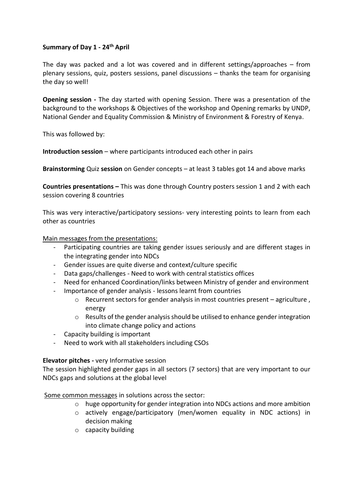## **Summary of Day 1 - 24th April**

The day was packed and a lot was covered and in different settings/approaches – from plenary sessions, quiz, posters sessions, panel discussions – thanks the team for organising the day so well!

**Opening session -** The day started with opening Session. There was a presentation of the background to the workshops & Objectives of the workshop and Opening remarks by UNDP, National Gender and Equality Commission & Ministry of Environment & Forestry of Kenya.

This was followed by:

**Introduction session** – where participants introduced each other in pairs

**Brainstorming** Quiz **session** on Gender concepts – at least 3 tables got 14 and above marks

**Countries presentations –** This was done through Country posters session 1 and 2 with each session covering 8 countries

This was very interactive/participatory sessions- very interesting points to learn from each other as countries

Main messages from the presentations:

- Participating countries are taking gender issues seriously and are different stages in the integrating gender into NDCs
- Gender issues are quite diverse and context/culture specific
- Data gaps/challenges Need to work with central statistics offices
- Need for enhanced Coordination/links between Ministry of gender and environment
- Importance of gender analysis lessons learnt from countries
	- $\circ$  Recurrent sectors for gender analysis in most countries present agriculture, energy
	- $\circ$  Results of the gender analysis should be utilised to enhance gender integration into climate change policy and actions
- Capacity building is important
- Need to work with all stakeholders including CSOs

## **Elevator pitches -** very Informative session

The session highlighted gender gaps in all sectors (7 sectors) that are very important to our NDCs gaps and solutions at the global level

Some common messages in solutions across the sector:

- $\circ$  huge opportunity for gender integration into NDCs actions and more ambition
- o actively engage/participatory (men/women equality in NDC actions) in decision making
- o capacity building